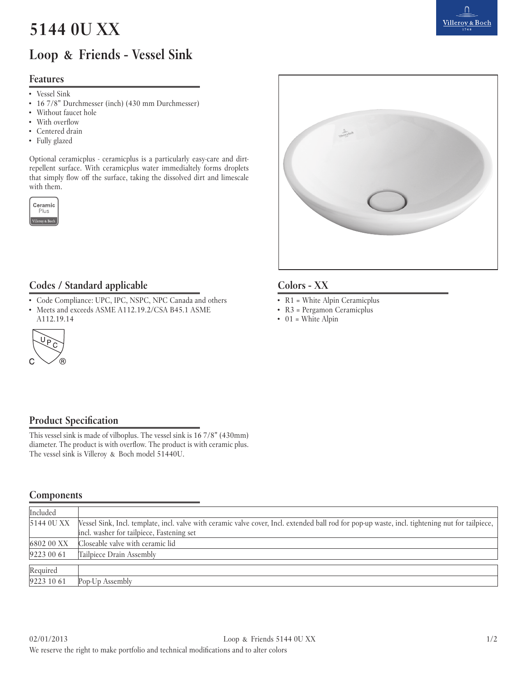# **5144 0U XX**

# **Loop & Friends - Vessel Sink**

#### **Features**

- • Vessel Sink
- • 16 7/8" Durchmesser (inch) (430 mm Durchmesser)
- Without faucet hole
- With overflow
- Centered drain
- Fully glazed

Optional ceramicplus - ceramicplus is a particularly easy-care and dirtrepellent surface. With ceramicplus water immedialtely forms droplets that simply flow off the surface, taking the dissolved dirt and limescale with them.





### **Codes / Standard applicable Colors - XX**

- • Code Compliance: UPC, IPC, NSPC, NPC Canada and others
- Meets and exceeds ASME A112.19.2/CSA B45.1 ASME A112.19.14



- R1 = White Alpin Ceramicplus
- R3 = Pergamon Ceramicplus
- $\bullet$  01 = White Alpin

### **Product Specification**

This vessel sink is made of vilboplus. The vessel sink is 16 7/8" (430mm) diameter. The product is with overflow. The product is with ceramic plus. The vessel sink is Villeroy & Boch model 51440U.

#### **Components**

| Included               |                                                                                                                                                  |  |
|------------------------|--------------------------------------------------------------------------------------------------------------------------------------------------|--|
| 5144 OU XX             | Vessel Sink, Incl. template, incl. valve with ceramic valve cover, Incl. extended ball rod for pop-up waste, incl. tightening nut for tailpiece, |  |
|                        | incl. washer for tailpiece, Fastening set                                                                                                        |  |
| 6802 00 XX             | Closeable valve with ceramic lid                                                                                                                 |  |
| 9223 00 61             | Tailpiece Drain Assembly                                                                                                                         |  |
|                        |                                                                                                                                                  |  |
|                        |                                                                                                                                                  |  |
| Required<br>9223 10 61 | Pop-Up Assembly                                                                                                                                  |  |